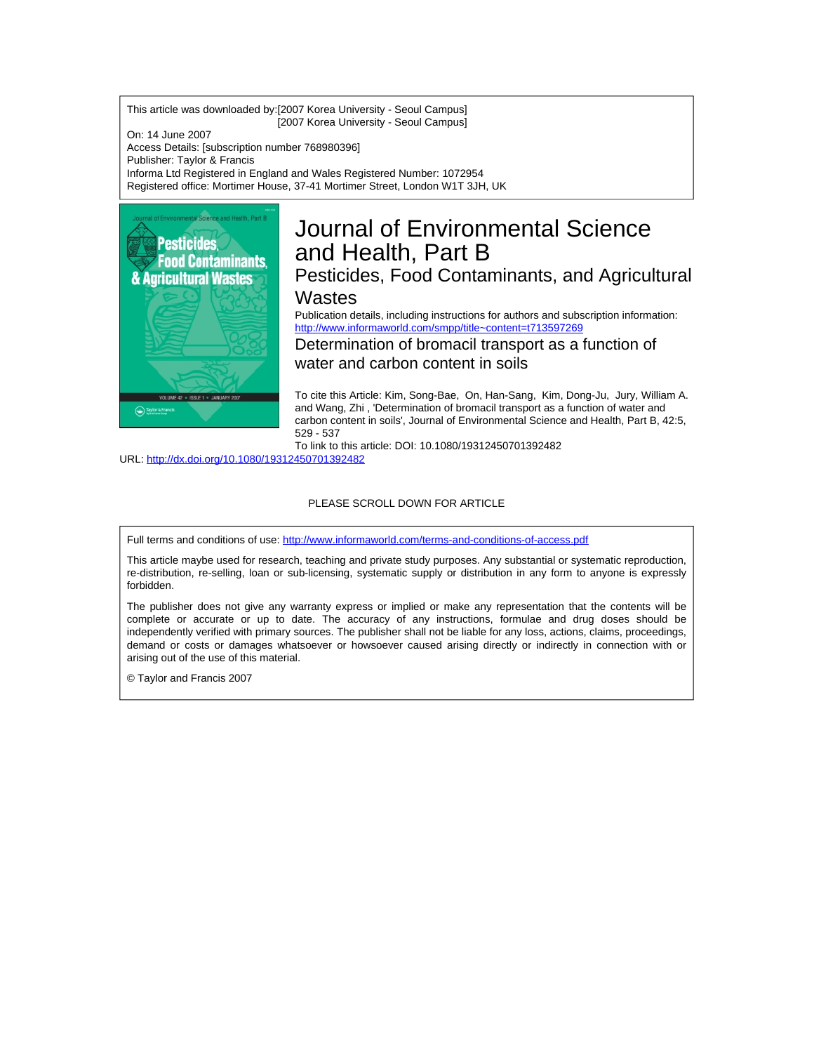This article was downloaded by:[2007 Korea University - Seoul Campus] [2007 Korea University - Seoul Campus]

On: 14 June 2007 Access Details: [subscription number 768980396] Publisher: Taylor & Francis Informa Ltd Registered in England and Wales Registered Number: 1072954 Registered office: Mortimer House, 37-41 Mortimer Street, London W1T 3JH, UK



# Journal of Environmental Science and Health, Part B Pesticides, Food Contaminants, and Agricultural

# Wastes

Publication details, including instructions for authors and subscription information: <http://www.informaworld.com/smpp/title~content=t713597269>

Determination of bromacil transport as a function of water and carbon content in soils

To cite this Article: Kim, Song-Bae, On, Han-Sang, Kim, Dong-Ju, Jury, William A. and Wang, Zhi , 'Determination of bromacil transport as a function of water and carbon content in soils', Journal of Environmental Science and Health, Part B, 42:5, 529 - 537

To link to this article: DOI: 10.1080/19312450701392482

URL: <http://dx.doi.org/10.1080/19312450701392482>

PLEASE SCROLL DOWN FOR ARTICLE

Full terms and conditions of use: <http://www.informaworld.com/terms-and-conditions-of-access.pdf>

This article maybe used for research, teaching and private study purposes. Any substantial or systematic reproduction, re-distribution, re-selling, loan or sub-licensing, systematic supply or distribution in any form to anyone is expressly forbidden.

The publisher does not give any warranty express or implied or make any representation that the contents will be complete or accurate or up to date. The accuracy of any instructions, formulae and drug doses should be independently verified with primary sources. The publisher shall not be liable for any loss, actions, claims, proceedings, demand or costs or damages whatsoever or howsoever caused arising directly or indirectly in connection with or arising out of the use of this material.

© Taylor and Francis 2007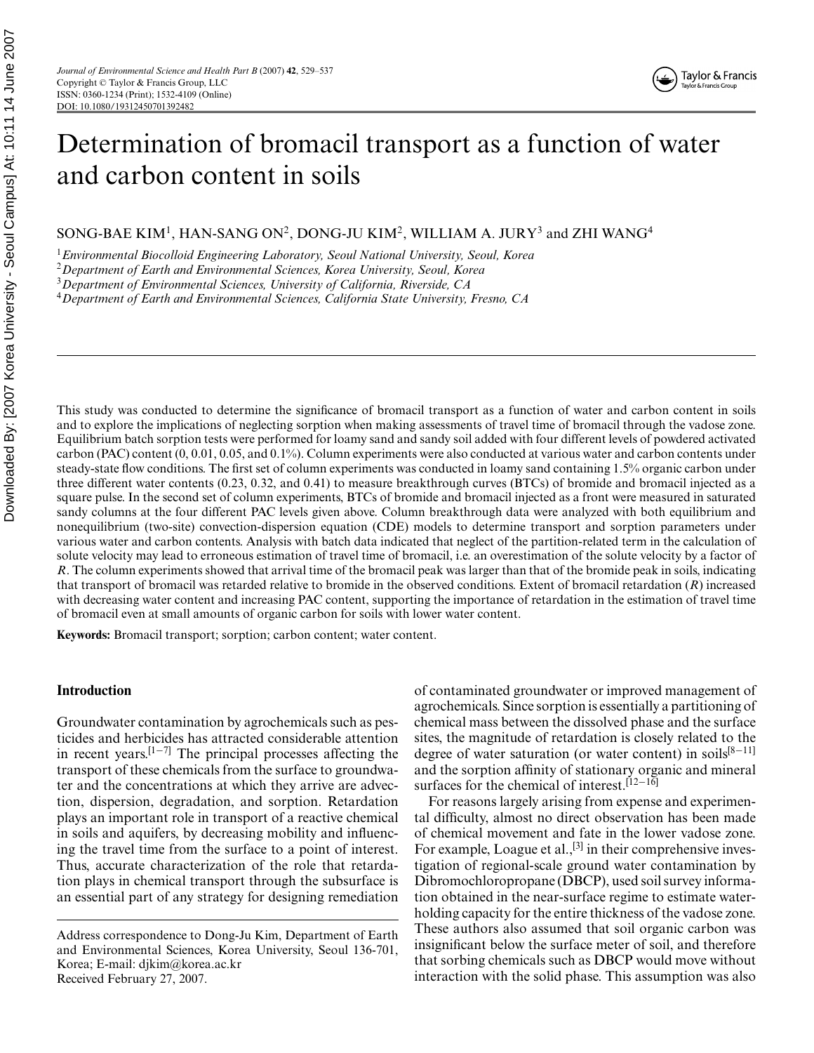# Determination of bromacil transport as a function of water and carbon content in soils

SONG-BAE KIM<sup>1</sup>, HAN-SANG ON<sup>2</sup>, DONG-JU KIM<sup>2</sup>, WILLIAM A. JURY<sup>3</sup> and ZHI WANG<sup>4</sup>

<sup>1</sup>*Environmental Biocolloid Engineering Laboratory, Seoul National University, Seoul, Korea*

<sup>2</sup>*Department of Earth and Environmental Sciences, Korea University, Seoul, Korea*

<sup>3</sup>*Department of Environmental Sciences, University of California, Riverside, CA*

<sup>4</sup>*Department of Earth and Environmental Sciences, California State University, Fresno, CA*

This study was conducted to determine the significance of bromacil transport as a function of water and carbon content in soils and to explore the implications of neglecting sorption when making assessments of travel time of bromacil through the vadose zone. Equilibrium batch sorption tests were performed for loamy sand and sandy soil added with four different levels of powdered activated carbon (PAC) content (0, 0.01, 0.05, and 0.1%). Column experiments were also conducted at various water and carbon contents under steady-state flow conditions. The first set of column experiments was conducted in loamy sand containing 1.5% organic carbon under three different water contents (0.23, 0.32, and 0.41) to measure breakthrough curves (BTCs) of bromide and bromacil injected as a square pulse. In the second set of column experiments, BTCs of bromide and bromacil injected as a front were measured in saturated sandy columns at the four different PAC levels given above. Column breakthrough data were analyzed with both equilibrium and nonequilibrium (two-site) convection-dispersion equation (CDE) models to determine transport and sorption parameters under various water and carbon contents. Analysis with batch data indicated that neglect of the partition-related term in the calculation of solute velocity may lead to erroneous estimation of travel time of bromacil, i.e. an overestimation of the solute velocity by a factor of *R*. The column experiments showed that arrival time of the bromacil peak was larger than that of the bromide peak in soils, indicating that transport of bromacil was retarded relative to bromide in the observed conditions. Extent of bromacil retardation (*R*) increased with decreasing water content and increasing PAC content, supporting the importance of retardation in the estimation of travel time of bromacil even at small amounts of organic carbon for soils with lower water content.

**Keywords:** Bromacil transport; sorption; carbon content; water content.

#### **Introduction**

Groundwater contamination by agrochemicals such as pesticides and herbicides has attracted considerable attention in recent years.[1−7] The principal processes affecting the transport of these chemicals from the surface to groundwater and the concentrations at which they arrive are advection, dispersion, degradation, and sorption. Retardation plays an important role in transport of a reactive chemical in soils and aquifers, by decreasing mobility and influencing the travel time from the surface to a point of interest. Thus, accurate characterization of the role that retardation plays in chemical transport through the subsurface is an essential part of any strategy for designing remediation

of contaminated groundwater or improved management of agrochemicals. Since sorption is essentially a partitioning of chemical mass between the dissolved phase and the surface sites, the magnitude of retardation is closely related to the degree of water saturation (or water content) in soils<sup>[8−11]</sup> and the sorption affinity of stationary organic and mineral surfaces for the chemical of interest.<sup>[12−16]</sup>

For reasons largely arising from expense and experimental difficulty, almost no direct observation has been made of chemical movement and fate in the lower vadose zone. For example, Loague et al., $^{[3]}$  in their comprehensive investigation of regional-scale ground water contamination by Dibromochloropropane (DBCP), used soil survey information obtained in the near-surface regime to estimate waterholding capacity for the entire thickness of the vadose zone. These authors also assumed that soil organic carbon was insignificant below the surface meter of soil, and therefore that sorbing chemicals such as DBCP would move without interaction with the solid phase. This assumption was also

Address correspondence to Dong-Ju Kim, Department of Earth and Environmental Sciences, Korea University, Seoul 136-701, Korea; E-mail: djkim@korea.ac.kr Received February 27, 2007.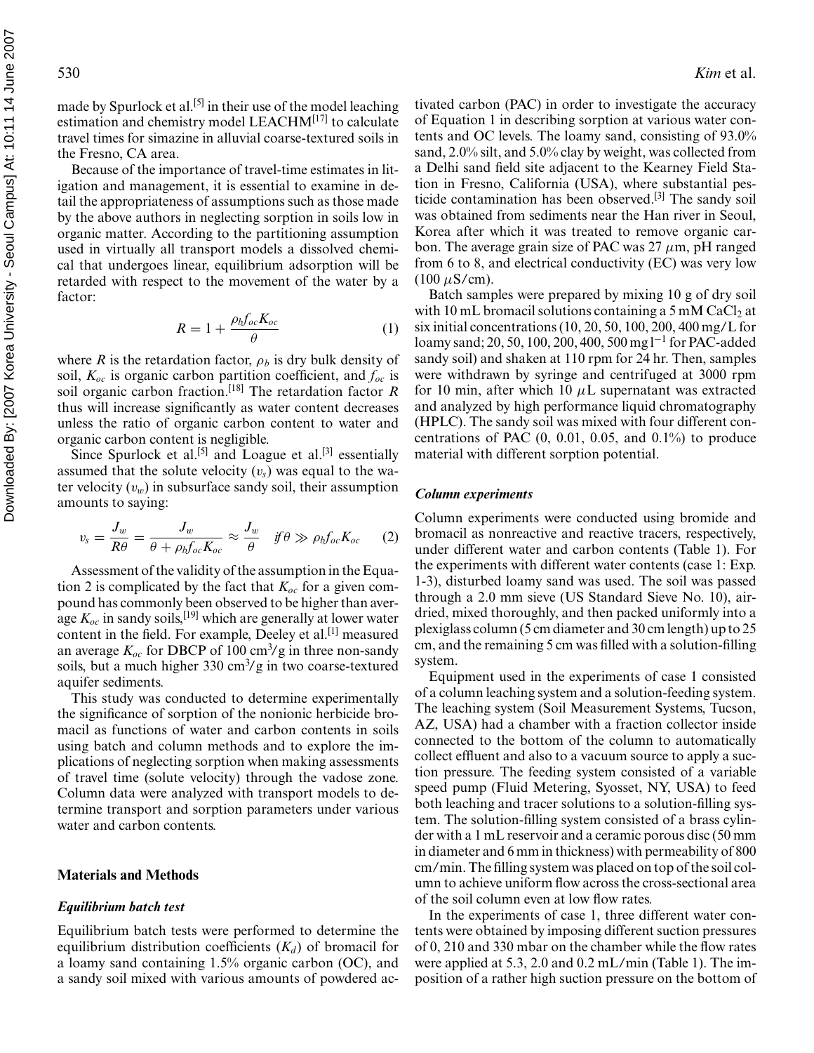made by Spurlock et al.<sup>[5]</sup> in their use of the model leaching estimation and chemistry model LEACHM<sup>[17]</sup> to calculate travel times for simazine in alluvial coarse-textured soils in the Fresno, CA area.

Because of the importance of travel-time estimates in litigation and management, it is essential to examine in detail the appropriateness of assumptions such as those made by the above authors in neglecting sorption in soils low in organic matter. According to the partitioning assumption used in virtually all transport models a dissolved chemical that undergoes linear, equilibrium adsorption will be retarded with respect to the movement of the water by a factor:

$$
R = 1 + \frac{\rho_b f_{oc} K_{oc}}{\theta} \tag{1}
$$

where *R* is the retardation factor,  $\rho_b$  is dry bulk density of soil,  $K_{oc}$  is organic carbon partition coefficient, and  $f_{oc}$  is soil organic carbon fraction.[18] The retardation factor *R* thus will increase significantly as water content decreases unless the ratio of organic carbon content to water and organic carbon content is negligible.

Since Spurlock et al.<sup>[5]</sup> and Loague et al.<sup>[3]</sup> essentially assumed that the solute velocity  $(v_s)$  was equal to the water velocity  $(v_w)$  in subsurface sandy soil, their assumption amounts to saying:

$$
v_s = \frac{J_w}{R\theta} = \frac{J_w}{\theta + \rho_b f_{oc} K_{oc}} \approx \frac{J_w}{\theta} \quad \text{if } \theta \gg \rho_b f_{oc} K_{oc} \tag{2}
$$

Assessment of the validity of the assumption in the Equation 2 is complicated by the fact that  $K_{oc}$  for a given compound has commonly been observed to be higher than average  $K_{oc}$  in sandy soils,  $[19]$  which are generally at lower water content in the field. For example, Deeley et al.<sup>[1]</sup> measured an average  $K_{oc}$  for DBCP of 100 cm<sup>3</sup>/g in three non-sandy soils, but a much higher  $330 \text{ cm}^3/\text{g}$  in two coarse-textured aquifer sediments.

This study was conducted to determine experimentally the significance of sorption of the nonionic herbicide bromacil as functions of water and carbon contents in soils using batch and column methods and to explore the implications of neglecting sorption when making assessments of travel time (solute velocity) through the vadose zone. Column data were analyzed with transport models to determine transport and sorption parameters under various water and carbon contents.

#### **Materials and Methods**

#### *Equilibrium batch test*

Equilibrium batch tests were performed to determine the equilibrium distribution coefficients  $(K_d)$  of bromacil for a loamy sand containing 1.5% organic carbon (OC), and a sandy soil mixed with various amounts of powdered ac-

tivated carbon (PAC) in order to investigate the accuracy of Equation 1 in describing sorption at various water contents and OC levels. The loamy sand, consisting of 93.0% sand, 2.0% silt, and 5.0% clay by weight, was collected from a Delhi sand field site adjacent to the Kearney Field Station in Fresno, California (USA), where substantial pesticide contamination has been observed.[3] The sandy soil was obtained from sediments near the Han river in Seoul, Korea after which it was treated to remove organic carbon. The average grain size of PAC was  $27 \mu m$ , pH ranged from 6 to 8, and electrical conductivity (EC) was very low  $(100 \,\mu\text{S/cm})$ .

Batch samples were prepared by mixing 10 g of dry soil with 10 mL bromacil solutions containing a 5 mM CaCl<sub>2</sub> at six initial concentrations (10, 20, 50, 100, 200, 400 mg/L for loamy sand; 20, 50, 100, 200, 400, 500 mg l−<sup>1</sup> for PAC-added sandy soil) and shaken at 110 rpm for 24 hr. Then, samples were withdrawn by syringe and centrifuged at 3000 rpm for 10 min, after which 10  $\mu$ L supernatant was extracted and analyzed by high performance liquid chromatography (HPLC). The sandy soil was mixed with four different concentrations of PAC  $(0, 0.01, 0.05,$  and  $(0.1\%)$  to produce material with different sorption potential.

#### *Column experiments*

Column experiments were conducted using bromide and bromacil as nonreactive and reactive tracers, respectively, under different water and carbon contents (Table 1). For the experiments with different water contents (case 1: Exp. 1-3), disturbed loamy sand was used. The soil was passed through a 2.0 mm sieve (US Standard Sieve No. 10), airdried, mixed thoroughly, and then packed uniformly into a plexiglass column (5 cm diameter and 30 cm length) up to 25 cm, and the remaining 5 cm was filled with a solution-filling system.

Equipment used in the experiments of case 1 consisted of a column leaching system and a solution-feeding system. The leaching system (Soil Measurement Systems, Tucson, AZ, USA) had a chamber with a fraction collector inside connected to the bottom of the column to automatically collect effluent and also to a vacuum source to apply a suction pressure. The feeding system consisted of a variable speed pump (Fluid Metering, Syosset, NY, USA) to feed both leaching and tracer solutions to a solution-filling system. The solution-filling system consisted of a brass cylinder with a 1 mL reservoir and a ceramic porous disc (50 mm in diameter and 6 mm in thickness) with permeability of 800 cm/min. The filling system was placed on top of the soil column to achieve uniform flow across the cross-sectional area of the soil column even at low flow rates.

In the experiments of case 1, three different water contents were obtained by imposing different suction pressures of 0, 210 and 330 mbar on the chamber while the flow rates were applied at 5.3, 2.0 and 0.2 mL/min (Table 1). The imposition of a rather high suction pressure on the bottom of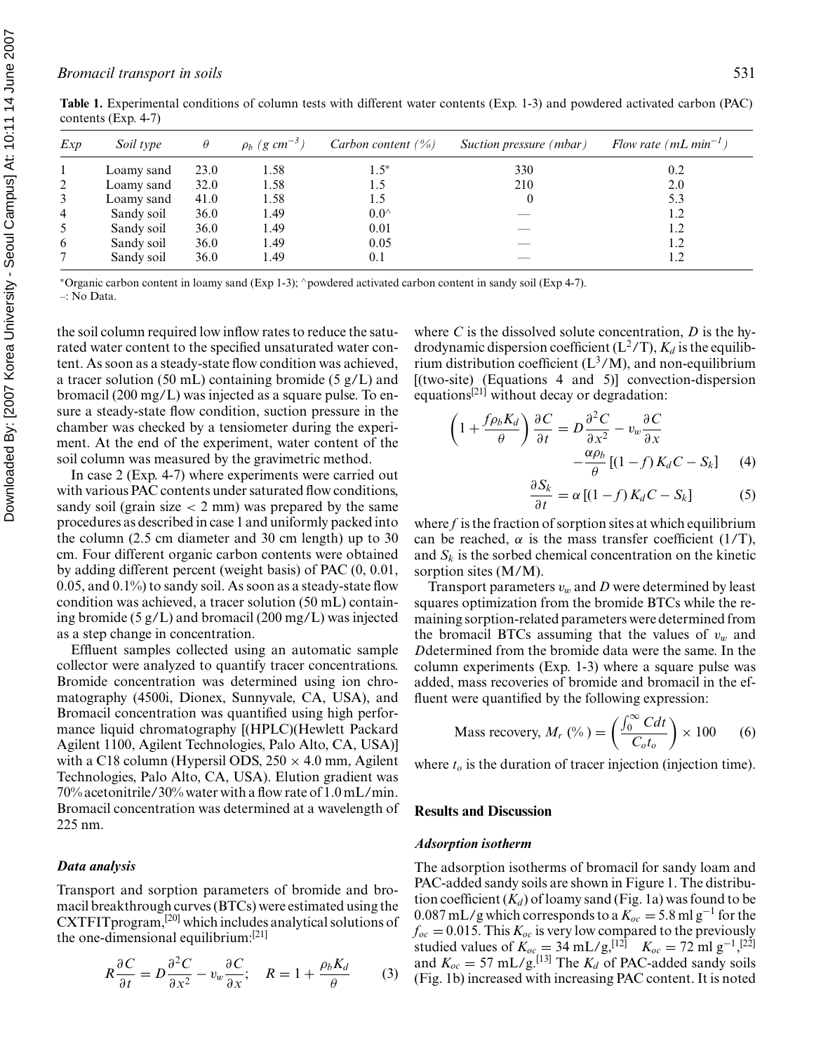| Exp            | Soil type  | $\theta$ | $\rho_b$ (g cm <sup>-3</sup> ) | Carbon content $(\% )$ | Suction pressure (mbar) | Flow rate ( $mL \text{ min}^{-1}$ ) |
|----------------|------------|----------|--------------------------------|------------------------|-------------------------|-------------------------------------|
|                | Loamy sand | 23.0     | 1.58                           | $1.5^*$                | 330                     | 0.2                                 |
| $\overline{2}$ | Loamy sand | 32.0     | 1.58                           | 1.5                    | 210                     | 2.0                                 |
| 3              | Loamy sand | 41.0     | 1.58                           | 1.5                    | $\theta$                | 5.3                                 |
| 4              | Sandy soil | 36.0     | 1.49                           | $0.0^{\wedge}$         |                         | 1.2                                 |
| 5              | Sandy soil | 36.0     | 1.49                           | 0.01                   |                         | 1.2                                 |
| 6              | Sandy soil | 36.0     | 1.49                           | 0.05                   |                         | 1.2                                 |
|                | Sandy soil | 36.0     | 1.49                           | 0.1                    |                         | 1.2                                 |
|                |            |          |                                |                        |                         |                                     |

**Table 1.** Experimental conditions of column tests with different water contents (Exp. 1-3) and powdered activated carbon (PAC) contents (Exp. 4-7)

∗Organic carbon content in loamy sand (Exp 1-3); ∧powdered activated carbon content in sandy soil (Exp 4-7).

–: No Data.

the soil column required low inflow rates to reduce the saturated water content to the specified unsaturated water content. As soon as a steady-state flow condition was achieved, a tracer solution (50 mL) containing bromide (5 g/L) and bromacil (200 mg/L) was injected as a square pulse. To ensure a steady-state flow condition, suction pressure in the chamber was checked by a tensiometer during the experiment. At the end of the experiment, water content of the soil column was measured by the gravimetric method.

In case 2 (Exp. 4-7) where experiments were carried out with various PAC contents under saturated flow conditions, sandy soil (grain size  $<$  2 mm) was prepared by the same procedures as described in case 1 and uniformly packed into the column (2.5 cm diameter and 30 cm length) up to 30 cm. Four different organic carbon contents were obtained by adding different percent (weight basis) of PAC (0, 0.01, 0.05, and 0.1%) to sandy soil. As soon as a steady-state flow condition was achieved, a tracer solution (50 mL) containing bromide (5 g/L) and bromacil (200 mg/L) was injected as a step change in concentration.

Effluent samples collected using an automatic sample collector were analyzed to quantify tracer concentrations. Bromide concentration was determined using ion chromatography (4500i, Dionex, Sunnyvale, CA, USA), and Bromacil concentration was quantified using high performance liquid chromatography [(HPLC)(Hewlett Packard Agilent 1100, Agilent Technologies, Palo Alto, CA, USA)] with a C18 column (Hypersil ODS,  $250 \times 4.0$  mm, Agilent Technologies, Palo Alto, CA, USA). Elution gradient was 70% acetonitrile/30% water with a flow rate of 1.0 mL/min. Bromacil concentration was determined at a wavelength of 225 nm.

#### *Data analysis*

Transport and sorption parameters of bromide and bromacil breakthrough curves (BTCs) were estimated using the CXTFITprogram,[20] which includes analytical solutions of the one-dimensional equilibrium:<sup>[21]</sup>

$$
R\frac{\partial C}{\partial t} = D\frac{\partial^2 C}{\partial x^2} - v_w \frac{\partial C}{\partial x}; \quad R = 1 + \frac{\rho_b K_d}{\theta} \tag{3}
$$

where *C* is the dissolved solute concentration, *D* is the hydrodynamic dispersion coefficient  $(L^2/T)$ ,  $K_d$  is the equilibrium distribution coefficient  $(L^3/M)$ , and non-equilibrium [(two-site) (Equations 4 and 5)] convection-dispersion equations $[21]$  without decay or degradation:

$$
\left(1 + \frac{f\rho_b K_d}{\theta}\right) \frac{\partial C}{\partial t} = D \frac{\partial^2 C}{\partial x^2} - v_w \frac{\partial C}{\partial x} - \frac{\partial C}{\theta} [(1 - f) K_d C - S_k]
$$
(4)

$$
\frac{\partial S_k}{\partial t} = \alpha \left[ (1 - f) K_d C - S_k \right] \tag{5}
$$

where  $f$  is the fraction of sorption sites at which equilibrium can be reached,  $\alpha$  is the mass transfer coefficient (1/T), and  $S_k$  is the sorbed chemical concentration on the kinetic sorption sites (M/M).

Transport parameters  $v_w$  and D were determined by least squares optimization from the bromide BTCs while the remaining sorption-related parameters were determined from the bromacil BTCs assuming that the values of  $v_w$  and *D*determined from the bromide data were the same. In the column experiments (Exp. 1-3) where a square pulse was added, mass recoveries of bromide and bromacil in the effluent were quantified by the following expression:

Mass recovery, 
$$
M_r
$$
 (%) =  $\left(\frac{\int_0^\infty C dt}{C_o t_o}\right) \times 100$  (6)

where  $t<sub>o</sub>$  is the duration of tracer injection (injection time).

#### **Results and Discussion**

#### *Adsorption isotherm*

The adsorption isotherms of bromacil for sandy loam and PAC-added sandy soils are shown in Figure 1. The distribution coefficient  $(K_d)$  of loamy sand (Fig. 1a) was found to be 0.087 mL/g which corresponds to a *Koc* <sup>=</sup> 5.8 ml g−<sup>1</sup> forthe  $f_{oc} = 0.015$ . This  $K_{oc}$  is very low compared to the previously studied values of  $K_{oc} = 34 \text{ mL/g}$ ,<sup>[12]</sup>  $K_{oc} = 72 \text{ ml g}^{-1}$ ,<sup>[22]</sup> and  $K_{oc} = 57 \text{ mL/g}$ .<sup>[13]</sup> The  $K_d$  of PAC-added sandy soils (Fig. 1b) increased with increasing PAC content. It is noted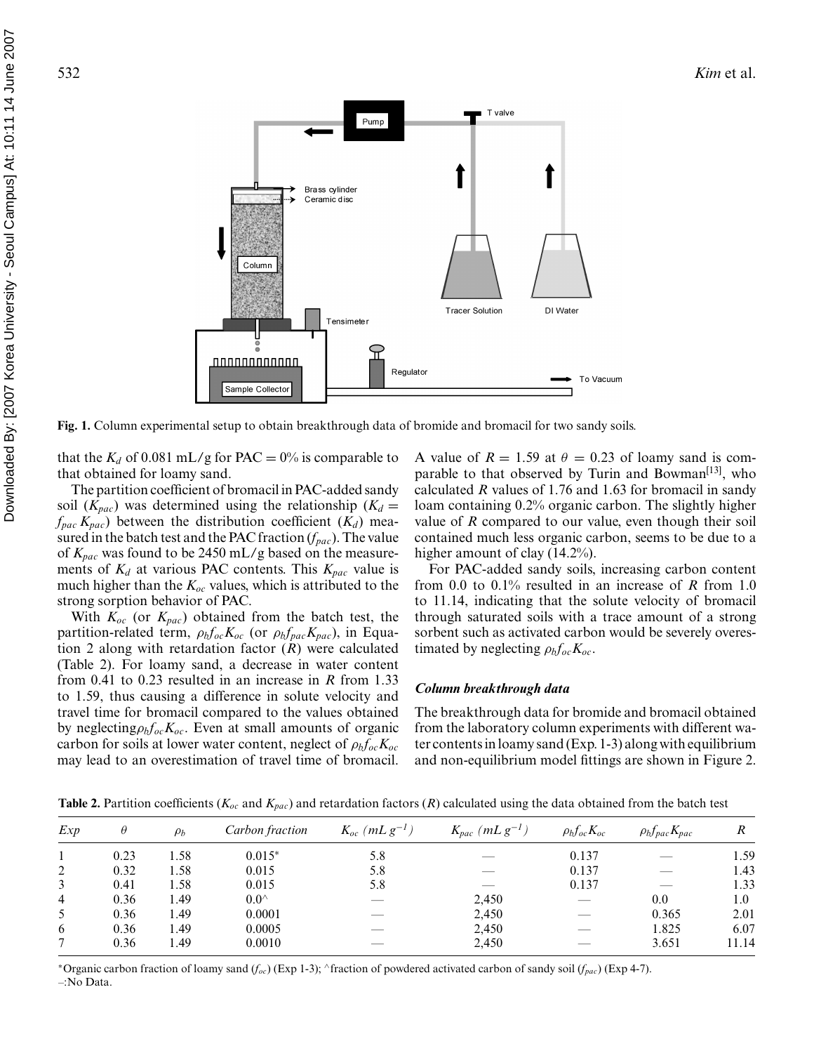

**Fig. 1.** Column experimental setup to obtain breakthrough data of bromide and bromacil for two sandy soils.

that the  $K_d$  of 0.081 mL/g for PAC = 0% is comparable to that obtained for loamy sand.

The partition coefficient of bromacil in PAC-added sandy soil  $(K_{\text{pac}})$  was determined using the relationship  $(K_d =$  $f_{\textit{pac}}(K_{\textit{pac}})$  between the distribution coefficient  $(K_d)$  measured in the batch test and the PAC fraction  $(f_{\text{pac}})$ . The value of *Kpac* was found to be 2450 mL/g based on the measurements of  $K_d$  at various PAC contents. This  $K_{pac}$  value is much higher than the  $K_{oc}$  values, which is attributed to the strong sorption behavior of PAC.

With *Koc* (or *Kpac*) obtained from the batch test, the partition-related term,  $\rho_b f_{oc} K_{oc}$  (or  $\rho_b f_{bac} K_{bac}$ ), in Equation 2 along with retardation factor (*R*) were calculated (Table 2). For loamy sand, a decrease in water content from 0.41 to 0.23 resulted in an increase in *R* from 1.33 to 1.59, thus causing a difference in solute velocity and travel time for bromacil compared to the values obtained by neglecting $\rho_b f_{oc} K_{oc}$ . Even at small amounts of organic carbon for soils at lower water content, neglect of ρ*bfocKoc* may lead to an overestimation of travel time of bromacil.

A value of  $R = 1.59$  at  $\theta = 0.23$  of loamy sand is comparable to that observed by Turin and Bowman $[13]$ , who calculated *R* values of 1.76 and 1.63 for bromacil in sandy loam containing 0.2% organic carbon. The slightly higher value of *R* compared to our value, even though their soil contained much less organic carbon, seems to be due to a higher amount of clay (14.2%).

For PAC-added sandy soils, increasing carbon content from 0.0 to 0.1% resulted in an increase of *R* from 1.0 to 11.14, indicating that the solute velocity of bromacil through saturated soils with a trace amount of a strong sorbent such as activated carbon would be severely overestimated by neglecting  $\rho_b f_{oc} K_{oc}$ .

# *Column breakthrough data*

The breakthrough data for bromide and bromacil obtained from the laboratory column experiments with different water contents in loamy sand (Exp. 1-3) along with equilibrium and non-equilibrium model fittings are shown in Figure 2.

| Exp            | $\theta$ | $\rho_b$ | Carbon fraction | $K_{oc}$ (mL $g^{-1}$ ) | $K_{pac}$ (mL $g^{-1}$ ) | $\rho_b f_{oc} K_{oc}$          | $\rho_b f_{pac} K_{pac}$ |       |
|----------------|----------|----------|-----------------|-------------------------|--------------------------|---------------------------------|--------------------------|-------|
|                | 0.23     | 1.58     | $0.015*$        | 5.8                     |                          | 0.137                           |                          | 1.59  |
| $\overline{2}$ | 0.32     | 1.58     | 0.015           | 5.8                     |                          | 0.137                           |                          | 1.43  |
|                | 0.41     | 1.58     | 0.015           | 5.8                     | __                       | 0.137                           |                          | 1.33  |
| 4              | 0.36     | 1.49     | $0.0^{\wedge}$  | __                      | 2,450                    | $\overbrace{\qquad \qquad }^{}$ | 0.0                      | 1.0   |
| 5              | 0.36     | 1.49     | 0.0001          |                         | 2,450                    |                                 | 0.365                    | 2.01  |
| 6              | 0.36     | 1.49     | 0.0005          |                         | 2,450                    |                                 | 1.825                    | 6.07  |
| 7              | 0.36     | 1.49     | 0.0010          | __                      | 2,450                    | __                              | 3.651                    | 11.14 |

**Table 2.** Partition coefficients ( $K_{oc}$  and  $K_{pac}$ ) and retardation factors (*R*) calculated using the data obtained from the batch test

<sup>∗</sup>Organic carbon fraction of loamy sand (*foc*) (Exp 1-3); <sup>∧</sup>fraction of powdered activated carbon of sandy soil (*fpac*) (Exp 4-7). –:No Data.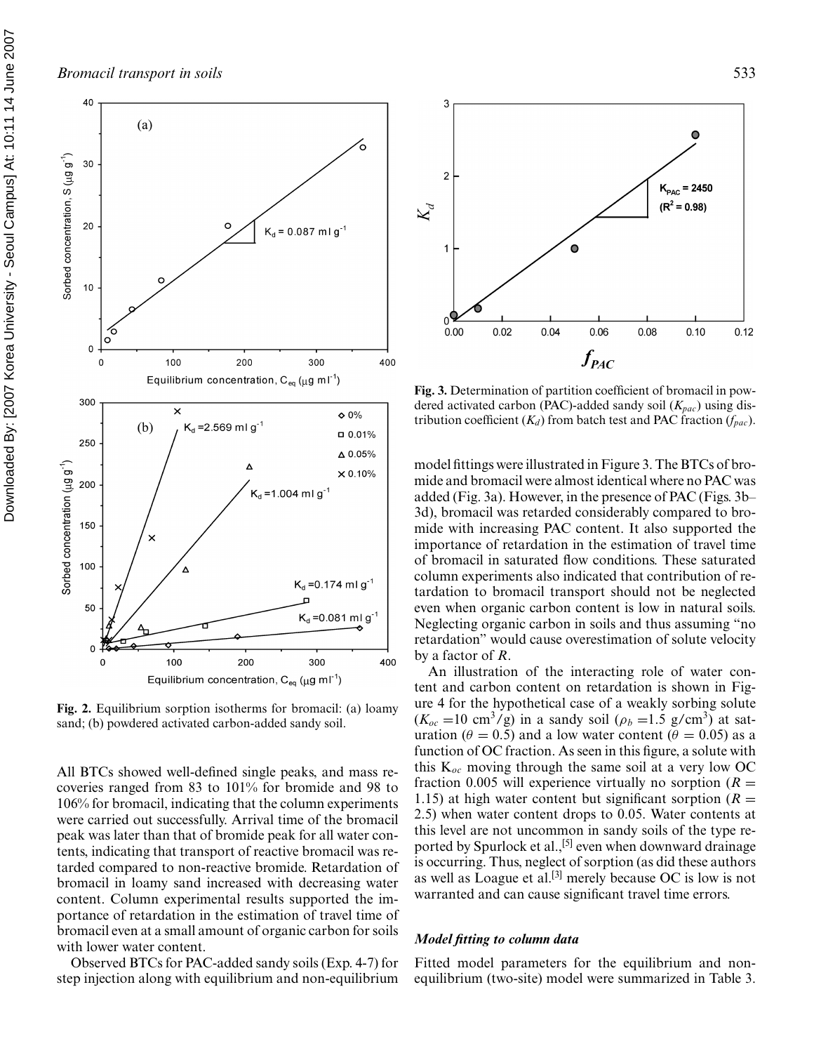# *Bromacil transport in soils* 533



**Fig. 2.** Equilibrium sorption isotherms for bromacil: (a) loamy sand; (b) powdered activated carbon-added sandy soil.

All BTCs showed well-defined single peaks, and mass recoveries ranged from 83 to 101% for bromide and 98 to 106% for bromacil, indicating that the column experiments were carried out successfully. Arrival time of the bromacil peak was later than that of bromide peak for all water contents, indicating that transport of reactive bromacil was retarded compared to non-reactive bromide. Retardation of bromacil in loamy sand increased with decreasing water content. Column experimental results supported the importance of retardation in the estimation of travel time of bromacil even at a small amount of organic carbon for soils with lower water content.

Observed BTCs for PAC-added sandy soils (Exp. 4-7) for step injection along with equilibrium and non-equilibrium



**Fig. 3.** Determination of partition coefficient of bromacil in powdered activated carbon (PAC)-added sandy soil ( $K_{\text{pac}}$ ) using distribution coefficient  $(K_d)$  from batch test and PAC fraction  $(f_{\text{pac}})$ .

model fittings were illustrated in Figure 3. The BTCs of bromide and bromacil were almost identical where no PAC was added (Fig. 3a). However, in the presence of PAC (Figs. 3b– 3d), bromacil was retarded considerably compared to bromide with increasing PAC content. It also supported the importance of retardation in the estimation of travel time of bromacil in saturated flow conditions. These saturated column experiments also indicated that contribution of retardation to bromacil transport should not be neglected even when organic carbon content is low in natural soils. Neglecting organic carbon in soils and thus assuming "no retardation" would cause overestimation of solute velocity by a factor of *R*.

An illustration of the interacting role of water content and carbon content on retardation is shown in Figure 4 for the hypothetical case of a weakly sorbing solute  $(K_{oc} = 10 \text{ cm}^3/\text{g})$  in a sandy soil  $(\rho_b = 1.5 \text{ g/cm}^3)$  at saturation ( $\theta = 0.5$ ) and a low water content ( $\theta = 0.05$ ) as a function of OC fraction. As seen in this figure, a solute with this K*oc* moving through the same soil at a very low OC fraction 0.005 will experience virtually no sorption  $(R =$ 1.15) at high water content but significant sorption  $(R =$ 2.5) when water content drops to 0.05. Water contents at this level are not uncommon in sandy soils of the type reported by Spurlock et al.,<sup>[5]</sup> even when downward drainage is occurring. Thus, neglect of sorption (as did these authors as well as Loague et al.<sup>[3]</sup> merely because OC is low is not warranted and can cause significant travel time errors.

## *Model fitting to column data*

Fitted model parameters for the equilibrium and nonequilibrium (two-site) model were summarized in Table 3.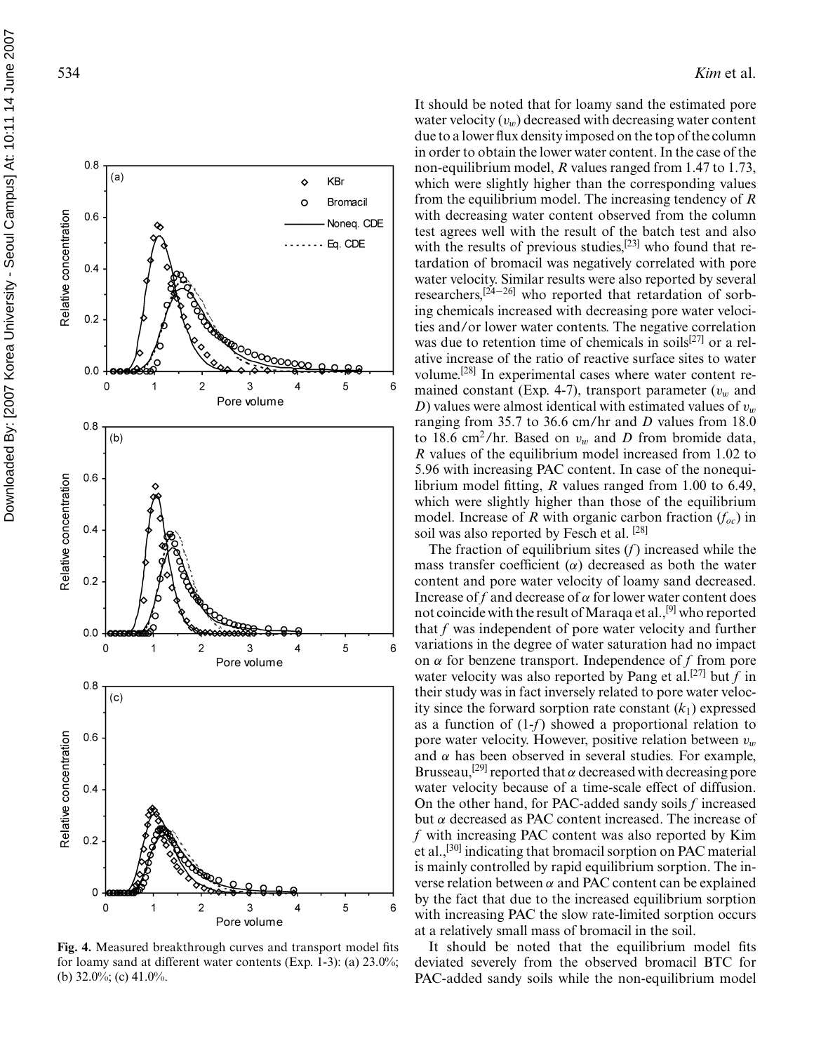

**Fig. 4.** Measured breakthrough curves and transport model fits for loamy sand at different water contents (Exp. 1-3): (a) 23.0%; (b) 32.0%; (c) 41.0%.

It should be noted that for loamy sand the estimated pore water velocity  $(v_w)$  decreased with decreasing water content due to a lower flux density imposed on the top of the column in order to obtain the lower water content. In the case of the non-equilibrium model, *R* values ranged from 1.47 to 1.73, which were slightly higher than the corresponding values from the equilibrium model. The increasing tendency of *R* with decreasing water content observed from the column test agrees well with the result of the batch test and also with the results of previous studies,<sup>[23]</sup> who found that retardation of bromacil was negatively correlated with pore water velocity. Similar results were also reported by several researchers,[24−26] who reported that retardation of sorbing chemicals increased with decreasing pore water velocities and/or lower water contents. The negative correlation was due to retention time of chemicals in soils $^{[27]}$  or a relative increase of the ratio of reactive surface sites to water volume.[28] In experimental cases where water content remained constant (Exp. 4-7), transport parameter  $(v_w$  and *D*) values were almost identical with estimated values of  $v_w$ ranging from 35.7 to 36.6 cm/hr and *D* values from 18.0 to 18.6 cm<sup>2</sup>/hr. Based on  $v_w$  and *D* from bromide data, *R* values of the equilibrium model increased from 1.02 to 5.96 with increasing PAC content. In case of the nonequilibrium model fitting, *R* values ranged from 1.00 to 6.49, which were slightly higher than those of the equilibrium model. Increase of *R* with organic carbon fraction  $(f_{oc})$  in soil was also reported by Fesch et al. [28]

The fraction of equilibrium sites (*f* ) increased while the mass transfer coefficient  $(\alpha)$  decreased as both the water content and pore water velocity of loamy sand decreased. Increase of  $f$  and decrease of  $\alpha$  for lower water content does not coincide with the result of Maraqa et al.,<sup>[9]</sup> who reported that *f* was independent of pore water velocity and further variations in the degree of water saturation had no impact on α for benzene transport. Independence of *f* from pore water velocity was also reported by Pang et al.[27] but *f* in their study was in fact inversely related to pore water velocity since the forward sorption rate constant  $(k_1)$  expressed as a function of (1-*f* ) showed a proportional relation to pore water velocity. However, positive relation between  $v_w$ and  $\alpha$  has been observed in several studies. For example, Brusseau,<sup>[29]</sup> reported that  $\alpha$  decreased with decreasing pore water velocity because of a time-scale effect of diffusion. On the other hand, for PAC-added sandy soils *f* increased but α decreased as PAC content increased. The increase of *f* with increasing PAC content was also reported by Kim et al.,[30] indicating that bromacil sorption on PAC material is mainly controlled by rapid equilibrium sorption. The inverse relation between  $\alpha$  and PAC content can be explained by the fact that due to the increased equilibrium sorption with increasing PAC the slow rate-limited sorption occurs at a relatively small mass of bromacil in the soil.

It should be noted that the equilibrium model fits deviated severely from the observed bromacil BTC for PAC-added sandy soils while the non-equilibrium model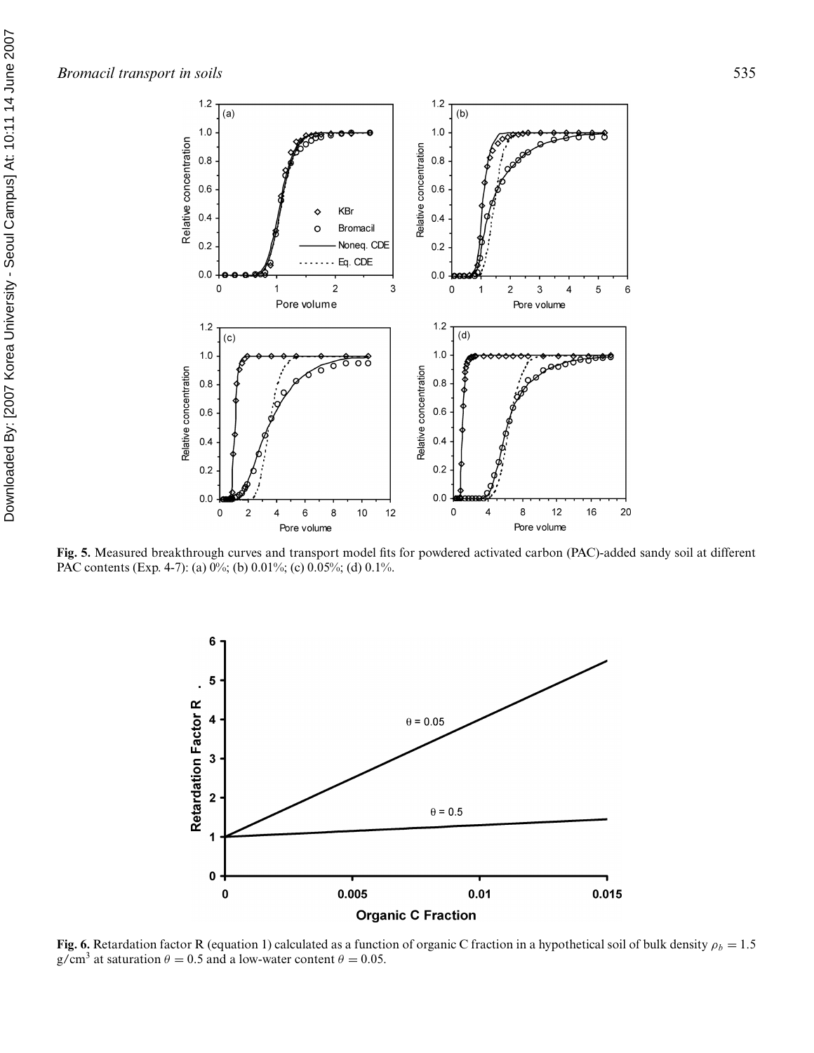

**Fig. 5.** Measured breakthrough curves and transport model fits for powdered activated carbon (PAC)-added sandy soil at different PAC contents (Exp. 4-7): (a)  $0\%$ ; (b)  $0.01\%$ ; (c)  $0.05\%$ ; (d)  $0.1\%$ .



**Fig. 6.** Retardation factor R (equation 1) calculated as a function of organic C fraction in a hypothetical soil of bulk density  $\rho_b = 1.5$ g/cm<sup>3</sup> at saturation  $\theta = 0.5$  and a low-water content  $\theta = 0.05$ .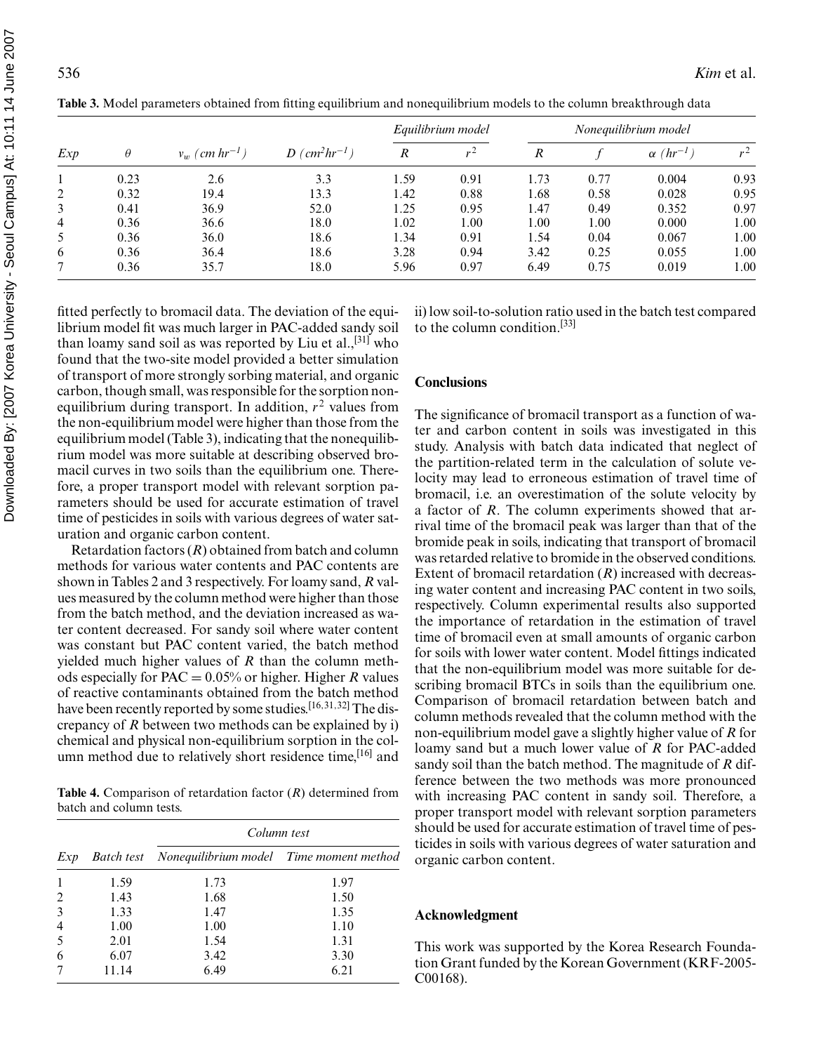| Exp |          | $v_w$ (cm $hr^{-1}$ ) | $D$ (cm <sup>2</sup> hr <sup>-1</sup> ) | Equilibrium model |       | Nonequilibrium model |      |                           |      |
|-----|----------|-----------------------|-----------------------------------------|-------------------|-------|----------------------|------|---------------------------|------|
|     | $\theta$ |                       |                                         | R                 | $r^2$ | R                    |      | . $(hr^{-1})$<br>$\alpha$ |      |
|     | 0.23     | 2.6                   | 3.3                                     | 1.59              | 0.91  | 1.73                 | 0.77 | 0.004                     | 0.93 |
| 2   | 0.32     | 19.4                  | 13.3                                    | 1.42              | 0.88  | 1.68                 | 0.58 | 0.028                     | 0.95 |
| 3   | 0.41     | 36.9                  | 52.0                                    | 1.25              | 0.95  | 1.47                 | 0.49 | 0.352                     | 0.97 |
| 4   | 0.36     | 36.6                  | 18.0                                    | 1.02              | 1.00  | 1.00                 | 1.00 | 0.000                     | 1.00 |
| 5   | 0.36     | 36.0                  | 18.6                                    | 1.34              | 0.91  | 1.54                 | 0.04 | 0.067                     | 1.00 |
| 6   | 0.36     | 36.4                  | 18.6                                    | 3.28              | 0.94  | 3.42                 | 0.25 | 0.055                     | 1.00 |
|     | 0.36     | 35.7                  | 18.0                                    | 5.96              | 0.97  | 6.49                 | 0.75 | 0.019                     | 1.00 |

**Table 3.** Model parameters obtained from fitting equilibrium and nonequilibrium models to the column breakthrough data

fitted perfectly to bromacil data. The deviation of the equilibrium model fit was much larger in PAC-added sandy soil than loamy sand soil as was reported by Liu et al., $[31]$  who found that the two-site model provided a better simulation of transport of more strongly sorbing material, and organic carbon, though small, was responsible for the sorption nonequilibrium during transport. In addition,  $r^2$  values from the non-equilibrium model were higher than those from the equilibrium model (Table 3), indicating that the nonequilibrium model was more suitable at describing observed bromacil curves in two soils than the equilibrium one. Therefore, a proper transport model with relevant sorption parameters should be used for accurate estimation of travel time of pesticides in soils with various degrees of water saturation and organic carbon content.

Retardation factors (*R*) obtained from batch and column methods for various water contents and PAC contents are shown in Tables 2 and 3 respectively. For loamy sand, *R* values measured by the column method were higher than those from the batch method, and the deviation increased as water content decreased. For sandy soil where water content was constant but PAC content varied, the batch method yielded much higher values of *R* than the column methods especially for PAC = 0.05% or higher. Higher *R* values of reactive contaminants obtained from the batch method have been recently reported by some studies.<sup>[16,31,32]</sup> The discrepancy of *R* between two methods can be explained by i) chemical and physical non-equilibrium sorption in the column method due to relatively short residence time,<sup>[16]</sup> and

**Table 4.** Comparison of retardation factor (*R*) determined from batch and column tests.

|                |       | Column test                                               |      |  |  |  |  |
|----------------|-------|-----------------------------------------------------------|------|--|--|--|--|
| Exp            |       | <b>Batch test</b> Nonequilibrium model Time moment method |      |  |  |  |  |
|                | 1.59  | 1.73                                                      | 1.97 |  |  |  |  |
| 2              | 1.43  | 1.68                                                      | 1.50 |  |  |  |  |
| 3              | 1.33  | 1.47                                                      | 1.35 |  |  |  |  |
| $\overline{4}$ | 1.00  | 1.00                                                      | 1.10 |  |  |  |  |
| 5              | 2.01  | 1.54                                                      | 1.31 |  |  |  |  |
| 6              | 6.07  | 3.42                                                      | 3.30 |  |  |  |  |
|                | 11.14 | 6.49                                                      | 6.21 |  |  |  |  |

ii) low soil-to-solution ratio used in the batch test compared to the column condition.[33]

# **Conclusions**

The significance of bromacil transport as a function of water and carbon content in soils was investigated in this study. Analysis with batch data indicated that neglect of the partition-related term in the calculation of solute velocity may lead to erroneous estimation of travel time of bromacil, i.e. an overestimation of the solute velocity by a factor of *R*. The column experiments showed that arrival time of the bromacil peak was larger than that of the bromide peak in soils, indicating that transport of bromacil was retarded relative to bromide in the observed conditions. Extent of bromacil retardation (*R*) increased with decreasing water content and increasing PAC content in two soils, respectively. Column experimental results also supported the importance of retardation in the estimation of travel time of bromacil even at small amounts of organic carbon for soils with lower water content. Model fittings indicated that the non-equilibrium model was more suitable for describing bromacil BTCs in soils than the equilibrium one. Comparison of bromacil retardation between batch and column methods revealed that the column method with the non-equilibrium model gave a slightly higher value of *R* for loamy sand but a much lower value of *R* for PAC-added sandy soil than the batch method. The magnitude of *R* difference between the two methods was more pronounced with increasing PAC content in sandy soil. Therefore, a proper transport model with relevant sorption parameters should be used for accurate estimation of travel time of pesticides in soils with various degrees of water saturation and organic carbon content.

#### **Acknowledgment**

This work was supported by the Korea Research Foundation Grant funded by the Korean Government (KRF-2005- C00168).